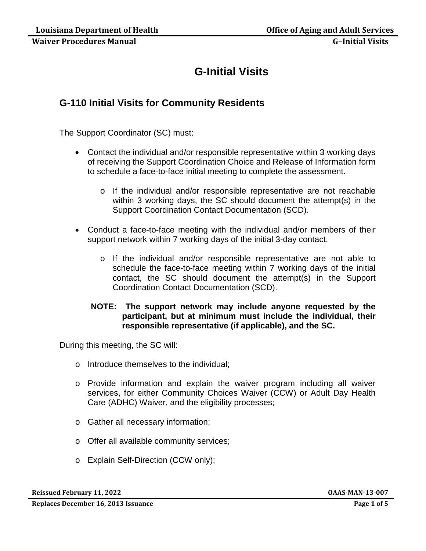# **G-Initial Visits**

# **G-110 Initial Visits for Community Residents**

The Support Coordinator (SC) must:

- Contact the individual and/or responsible representative within 3 working days of receiving the Support Coordination Choice and Release of Information form to schedule a face-to-face initial meeting to complete the assessment.
	- o If the individual and/or responsible representative are not reachable within 3 working days, the SC should document the attempt(s) in the Support Coordination Contact Documentation (SCD).
- Conduct a face-to-face meeting with the individual and/or members of their support network within 7 working days of the initial 3-day contact.
	- o If the individual and/or responsible representative are not able to schedule the face-to-face meeting within 7 working days of the initial contact, the SC should document the attempt(s) in the Support Coordination Contact Documentation (SCD).

### **NOTE: The support network may include anyone requested by the participant, but at minimum must include the individual, their responsible representative (if applicable), and the SC.**

During this meeting, the SC will:

- o Introduce themselves to the individual;
- o Provide information and explain the waiver program including all waiver services, for either Community Choices Waiver (CCW) or Adult Day Health Care (ADHC) Waiver, and the eligibility processes;
- o Gather all necessary information;
- o Offer all available community services;
- o Explain Self-Direction (CCW only);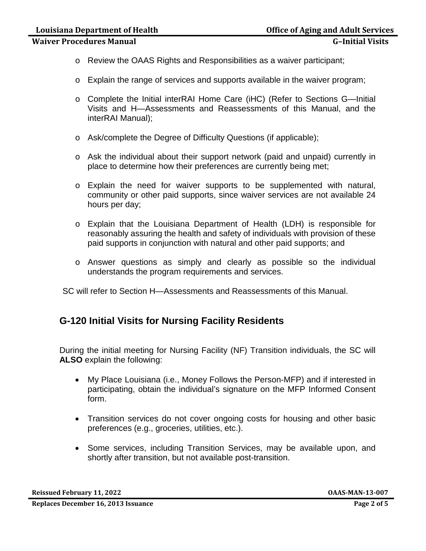- **Waiver Procedures Manual G–Initial Visits**
	- o Review the OAAS Rights and Responsibilities as a waiver participant;
	- o Explain the range of services and supports available in the waiver program;
	- o Complete the Initial interRAI Home Care (iHC) (Refer to Sections G—Initial Visits and H—Assessments and Reassessments of this Manual, and the interRAI Manual);
	- o Ask/complete the Degree of Difficulty Questions (if applicable);
	- o Ask the individual about their support network (paid and unpaid) currently in place to determine how their preferences are currently being met;
	- o Explain the need for waiver supports to be supplemented with natural, community or other paid supports, since waiver services are not available 24 hours per day;
	- o Explain that the Louisiana Department of Health (LDH) is responsible for reasonably assuring the health and safety of individuals with provision of these paid supports in conjunction with natural and other paid supports; and
	- o Answer questions as simply and clearly as possible so the individual understands the program requirements and services.

SC will refer to Section H—Assessments and Reassessments of this Manual.

# **G-120 Initial Visits for Nursing Facility Residents**

During the initial meeting for Nursing Facility (NF) Transition individuals, the SC will **ALSO** explain the following:

- My Place Louisiana (i.e., Money Follows the Person-MFP) and if interested in participating, obtain the individual's signature on the MFP Informed Consent form.
- Transition services do not cover ongoing costs for housing and other basic preferences (e.g., groceries, utilities, etc.).
- Some services, including Transition Services, may be available upon, and shortly after transition, but not available post-transition.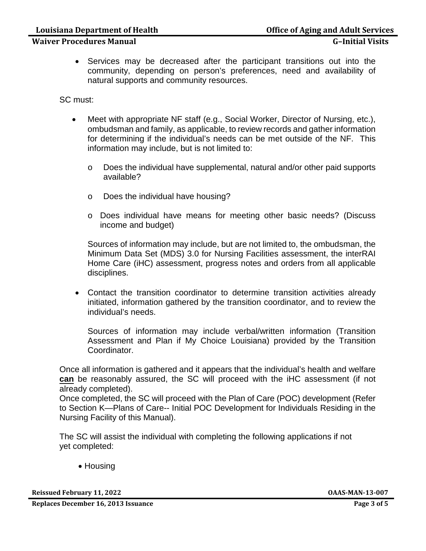## **Waiver Procedures Manual G–Initial Visits**

• Services may be decreased after the participant transitions out into the community, depending on person's preferences, need and availability of natural supports and community resources.

SC must:

- Meet with appropriate NF staff (e.g., Social Worker, Director of Nursing, etc.), ombudsman and family, as applicable, to review records and gather information for determining if the individual's needs can be met outside of the NF. This information may include, but is not limited to:
	- o Does the individual have supplemental, natural and/or other paid supports available?
	- o Does the individual have housing?
	- o Does individual have means for meeting other basic needs? (Discuss income and budget)

Sources of information may include, but are not limited to, the ombudsman, the Minimum Data Set (MDS) 3.0 for Nursing Facilities assessment, the interRAI Home Care (iHC) assessment, progress notes and orders from all applicable disciplines.

• Contact the transition coordinator to determine transition activities already initiated, information gathered by the transition coordinator, and to review the individual's needs.

Sources of information may include verbal/written information (Transition Assessment and Plan if My Choice Louisiana) provided by the Transition Coordinator.

Once all information is gathered and it appears that the individual's health and welfare **can** be reasonably assured, the SC will proceed with the iHC assessment (if not already completed).

Once completed, the SC will proceed with the Plan of Care (POC) development (Refer to Section K—Plans of Care-- Initial POC Development for Individuals Residing in the Nursing Facility of this Manual).

The SC will assist the individual with completing the following applications if not yet completed:

• Housing

**Reissued February 11, 2022 OAAS-MAN-13-007**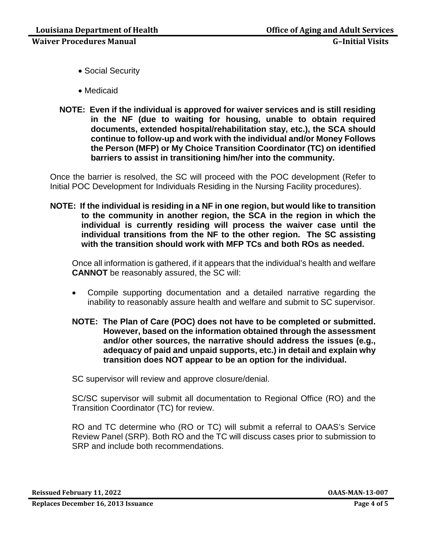- Social Security
- Medicaid
- **NOTE: Even if the individual is approved for waiver services and is still residing in the NF (due to waiting for housing, unable to obtain required documents, extended hospital/rehabilitation stay, etc.), the SCA should continue to follow-up and work with the individual and/or Money Follows the Person (MFP) or My Choice Transition Coordinator (TC) on identified barriers to assist in transitioning him/her into the community.**

Once the barrier is resolved, the SC will proceed with the POC development (Refer to Initial POC Development for Individuals Residing in the Nursing Facility procedures).

**NOTE: If the individual is residing in a NF in one region, but would like to transition to the community in another region, the SCA in the region in which the individual is currently residing will process the waiver case until the individual transitions from the NF to the other region. The SC assisting with the transition should work with MFP TCs and both ROs as needed.**

Once all information is gathered, if it appears that the individual's health and welfare **CANNOT** be reasonably assured, the SC will:

- Compile supporting documentation and a detailed narrative regarding the inability to reasonably assure health and welfare and submit to SC supervisor.
- **NOTE: The Plan of Care (POC) does not have to be completed or submitted. However, based on the information obtained through the assessment and/or other sources, the narrative should address the issues (e.g., adequacy of paid and unpaid supports, etc.) in detail and explain why transition does NOT appear to be an option for the individual.**

SC supervisor will review and approve closure/denial.

SC/SC supervisor will submit all documentation to Regional Office (RO) and the Transition Coordinator (TC) for review.

RO and TC determine who (RO or TC) will submit a referral to OAAS's Service Review Panel (SRP). Both RO and the TC will discuss cases prior to submission to SRP and include both recommendations.

**Reissued February 11, 2022 OAAS-MAN-13-007**